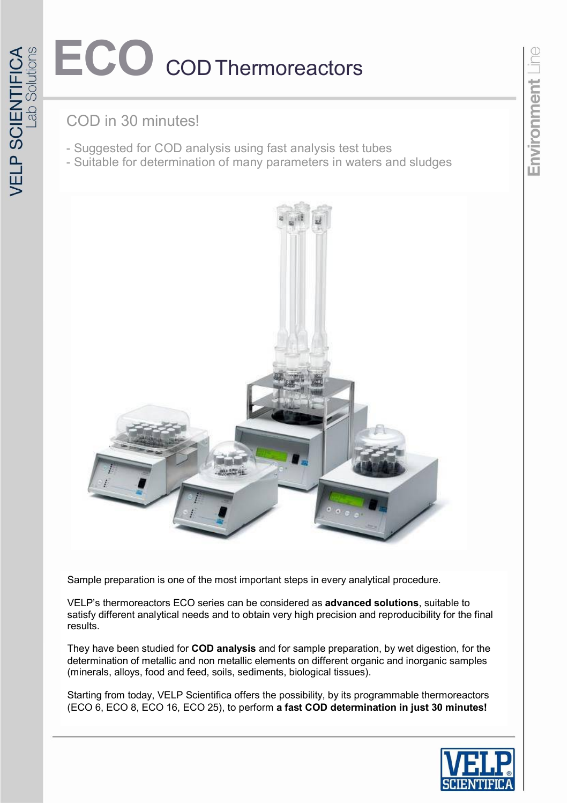# ECO **CODThermoreactors**

## COD in 30 minutes!

- Suggested for COD analysis using fast analysis test tubes
- Suitable for determination of many parameters in waters and sludges



Sample preparation is one of the most important steps in every analytical procedure.

VELP's thermoreactors ECO series can be considered as **advanced solutions**, suitable to satisfy different analytical needs and to obtain very high precision and reproducibility for the final results.

They have been studied for **COD analysis** and for sample preparation, by wet digestion, for the determination of metallic and non metallic elements on different organic and inorganic samples (minerals, alloys, food and feed, soils, sediments, biological tissues).

Starting from today, VELP Scientifica offers the possibility, by its programmable thermoreactors (ECO 6, ECO 8, ECO 16, ECO 25), to perform **a fast COD determination in just 30 minutes!**